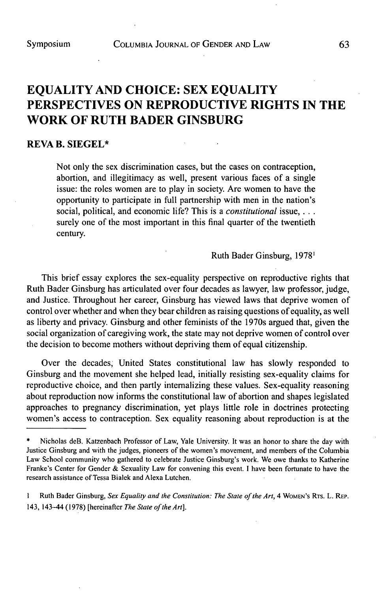# **EQUALITY AND CHOICE: SEX EQUALITY PERSPECTIVES ON REPRODUCTIVE RIGHTS IN THE WORK OF RUTH BADER GINSBURG**

## **REVA B. SIEGEL\***

Not only the sex discrimination cases, but the cases on contraception, abortion, and illegitimacy as well, present various faces of a single issue: the roles women are to play in society. Are women to have the opportunity to participate in full partnership with men in the nation's social, political, and economic life? This is a *constitutional issue,* **. . .** surely one of the most important in this final quarter of the twentieth century.

Ruth Bader Ginsburg, **19781**

This brief essay explores the sex-equality perspective on reproductive rights that Ruth Bader Ginsburg has articulated over four decades as lawyer, law professor, judge, and Justice. Throughout her career, Ginsburg has viewed laws that deprive women of control over whether and when they bear children as raising questions of equality, as well as liberty and privacy. Ginsburg and other feminists of the 1970s argued that, given the social organization of caregiving work, the state may not deprive women of control over the decision to become mothers without depriving them of equal citizenship.

Over the decades, United States constitutional law has slowly responded to Ginsburg and the movement she helped lead, initially resisting sex-equality claims for reproductive choice, and then partly internalizing these values. Sex-equality reasoning about reproduction now informs the constitutional law of abortion and shapes legislated approaches to pregnancy discrimination, yet plays little role in doctrines protecting women's access to contraception. Sex equality reasoning about reproduction is at the

**I** Ruth Bader Ginsburg, Sex Equality and the Constitution: *The State of the Art, 4* **WOMEN's RTs.** L. **REP.** 143, 143-44 **(1978)** [hereinafter *The State of the Art].*

**<sup>\*</sup>** Nicholas deB. Katzenbach Professor of Law, Yale University. It was an honor to share the day with Justice Ginsburg and with the judges, pioneers of the women's movement, and members of the Columbia Law School community who gathered to celebrate Justice Ginsburg's work. We owe thanks to Katherine Franke's Center for Gender **&** Sexuality Law for convening this event. **I** have been fortunate to have the research assistance of Tessa Bialek and Alexa Lutchen.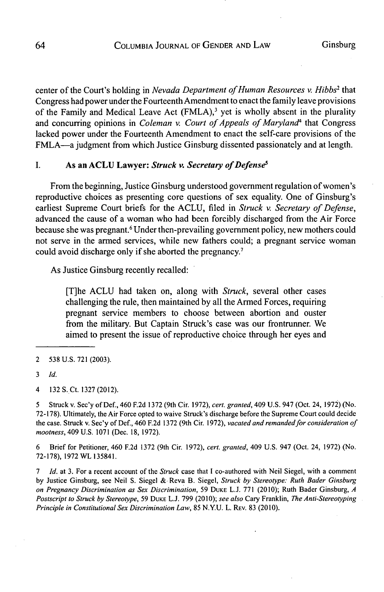center of the Court's holding in *Nevada Department of Human Resources v. Hibbs<sup>2</sup>* that Congress had power under the Fourteenth Amendment to enact the family leave provisions of the Family and Medical Leave Act  $(FMLA)$ ,<sup>3</sup> yet is wholly absent in the plurality and concurring opinions in *Coleman v. Court of Appeals of Maryland4* that Congress lacked power under the Fourteenth Amendment to enact the self-care provisions of the FMLA-a judgment from which Justice Ginsburg dissented passionately and at length.

# **I.** As **an ACLU Lawyer:** *Struck v. Secretary of Defenses*

From the beginning, Justice Ginsburg understood government regulation of women's reproductive choices as presenting core questions of sex equality. One of Ginsburg's earliest Supreme Court briefs for the **ACLU,** filed in *Struck v. Secretary of Defense,* advanced the cause of a woman who had been forcibly discharged from the Air Force because she was pregnant.<sup>6</sup> Under then-prevailing government policy, new mothers could not serve in the armed services, while new fathers could; a pregnant service woman could avoid discharge only if she aborted the pregnancy.'

As Justice Ginsburg recently recalled:

[T]he **ACLU** had taken on, along with *Struck,* several other cases challenging the rule, then maintained **by** all the Armed Forces, requiring pregnant service members to choose between abortion and ouster from the military. But Captain Struck's case was our frontrunner. We aimed to present the issue of reproductive choice through her eyes and

*5* Struck v. Sec'y of Def., 460 **F.2d 1372** (9th Cir. **1972),** *cert. granted,* 409 **U.S.** 947 (Oct. 24, **1972)** (No. **72-178).** Ultimately, the Air Force opted to waive Struck's discharge before the Supreme Court could decide the case. Struck v. Sec'y of Def., 460 **F.2d 1372** (9th Cir. **1972),** *vacated and remanded for consideration of mootness,* 409 **U.S. 1071** (Dec. **18, 1972).**

**6** Brief for Petitioner, 460 **F.2d 1372** (9th Cir. **1972),** *cert. granted,* 409 **U.S.** 947 (Oct. 24, **1972)** (No. **72-178), 1972** WL **135841.**

**7** *Id.* at **3.** For a recent account of the *Struck* case that **I** co-authored with Neil Siegel, with a comment **by** Justice Ginsburg, see Neil **S.** Siegel **&** Reva B. Siegel, *Struck by Stereotype: Ruth Bader Ginsburg on Pregnancy Discrimination as Sex Discrimination,* **59 DUKE L.J. 771** (2010); Ruth Bader Ginsburg, *A* Postscript to Struck **by** *Stereotype,* **59 DUKE L.J. 799** *(2010); see also* Cary Franklin, *The Anti-Stereotyping Principle in Constitutional* Sex *Discrimination Law, 85* **N.YU.** L. REv. **83** (2010).

<sup>2</sup> **538 U.S. 721 (2003).**

**<sup>3</sup>** *Id.*

*<sup>4</sup>* **132** S. Ct. **1327** (2012).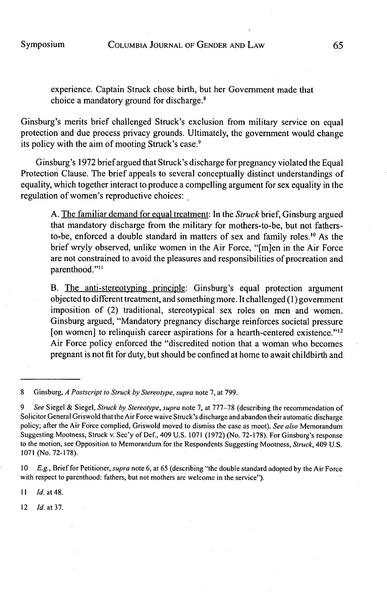experience. Captain Struck chose birth, but her Government made that choice a mandatory ground for discharge.8

Ginsburg's merits brief challenged Struck's exclusion from military service on equal protection and due process privacy grounds. Ultimately, the government would change its policy with the aim of mooting Struck's case.9

Ginsburg's **1972** brief argued that Struck's discharge for pregnancy violated the Equal Protection Clause. The brief appeals to several conceptually distinct understandings of equality, which together interact to produce a compelling argument for sex equality in the regulation of women's reproductive choices:

**A.** The familiar demand for equal treatment: In the *Struck* brief, Ginsburg argued that mandatory discharge from the military for mothers-to-be, but not fathersto-be, enforced a double standard in matters of sex and family roles.'0 As the brief wryly observed, unlike women in the Air Force, "[m]en in the Air Force are not constrained to avoid the pleasures and responsibilities of procreation and parenthood."<sup>11</sup>

B. The anti-stereotyping principle: Ginsburg's equal protection argument objected to different treatment, and something more. It challenged **(1)** government imposition of (2) traditional, stereotypical sex roles on men and women. Ginsburg argued, "Mandatory pregnancy discharge reinforces societal pressure [on women] to relinquish career aspirations for a hearth-centered existence."<sup>12</sup> Air Force policy enforced the "discredited notion that a woman who becomes pregnant is not fit for duty, but should be confined at home to await childbirth and

**8** Ginsburg, *A Postscript to Struck by Stereotype, supra* note *7, at* **799.**

**<sup>10</sup>E.g.,** Brief for Petitioner, supra note **6,** at **65** (describing "the double standard adopted **by** the Air Force with respect to parenthood: fathers, but not mothers are welcome in the service").

**II** *Id. at 48.*

12 *Id. at* **37.**

*<sup>9</sup> See* Siegel **&** Siegel, *Struck by Stereotype, supra* note **7,** at **777-78** (describing the recommendation of Solicitor General Griswold that the Air Force waive Struck's discharge and abandon their automatic discharge policy; after the Air Force complied, Griswold moved to dismiss the case as moot). *See also* Memorandum Suggesting Mootness, Struck v. Sec'y of Def., 409 **U.S. 1071 (1972)** (No. **72-178).** For Ginsburg's response to the motion, see Opposition to Memorandum for the Respondents Suggesting Mootness, *Struck,* 409 **U.S. 1071** (No. **72-178).**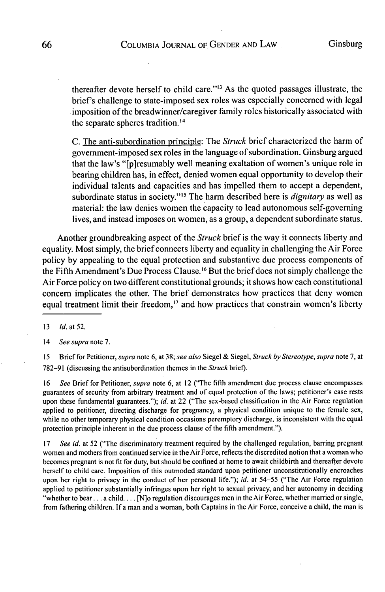thereafter devote herself to child care."" As the quoted passages illustrate, the brief's challenge to state-imposed sex roles was especially concerned with legal imposition of the breadwinner/caregiver family roles historically associated with the separate spheres tradition.<sup>14</sup>

**C.** The anti-subordination principle: The *Struck* brief characterized the harm of government-imposed sex roles in the language of subordination. Ginsburg argued that the law's "[p]resumably well meaning exaltation of women's unique role in bearing children has, in effect, denied women equal opportunity to develop their individual talents and capacities and has impelled them to accept a dependent, subordinate status in society."<sup>15</sup> The harm described here is *dignitary* as well as material: the law denies women the capacity to lead autonomous self-governing lives, and instead imposes on women, as a group, a dependent subordinate status.

Another groundbreaking aspect of the *Struck* brief is the way it connects liberty and equality. Most simply, the brief connects liberty and equality in challenging the Air Force policy **by** appealing to the equal protection and substantive due process components of the Fifth Amendment's Due Process Clause.<sup>16</sup> But the brief does not simply challenge the Air Force policy on two different constitutional grounds; it shows how each constitutional concern implicates the other. The brief demonstrates how practices that deny women equal treatment limit their freedom,<sup>17</sup> and how practices that constrain women's liberty

**<sup>13</sup>***Id.* at **52.**

14 *See supra* note **7.**

**<sup>15</sup>**Brief for Petitioner, *supra* note **6,** at **38;** *see also* Siegel **&** *Siegel, Struck by Stereotype, supra* note **7,** at **782-91** (discussing the antisubordination themes in the *Struck brief).*

**16** *See* Brief for Petitioner, *supra* note **6,** at 12 ("The fifth amendment due process clause encompasses guarantees of security from arbitrary treatment and of equal protection of the laws; petitioner's case rests upon these fundamental guarantees."); *id.* at 22 ("The sex-based classification in the Air Force regulation applied to petitioner, directing discharge for pregnancy, a physical condition unique to the female sex, while no other temporary physical condition occasions peremptory discharge, is inconsistent with the equal protection principle inherent in the due process clause of the fifth amendment.").

**17** *See id.* at **52** ("The discriminatory treatment required **by** the challenged regulation, barring pregnant women and mothers from continued service in the Air Force, reflects the discredited notion that a woman who becomes pregnant is not fit for duty, but should be confined at home to await childbirth and thereafter devote herself to child care. Imposition of this outmoded standard upon petitioner unconstitutionally encroaches upon her right to privacy in the conduct of her personal life."); *id.* at **54-55** ("The Air Force regulation applied to petitioner substantially infringes upon her right to sexual privacy, and her autonomy in deciding "whether to bear **...** a **child....** [N]o regulation discourages men in the Air Force, whether married or single, from fathering children. **If** a man and a woman, both Captains in the Air Force, conceive a child, the man is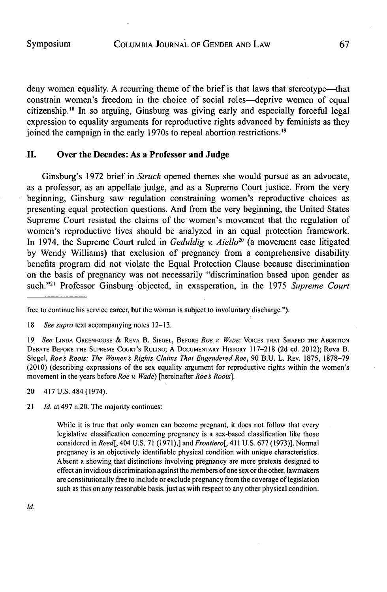deny women equality. A recurring theme of the brief is that laws that stereotype-that constrain women's freedom in the choice of social roles-deprive women of equal citizenship.<sup>18</sup> In so arguing, Ginsburg was giving early and especially forceful legal expression to equality arguments for reproductive rights advanced **by** feminists as they joined the campaign in the early 1970s to repeal abortion restrictions.<sup>19</sup>

#### **II.** Over the Decades: As a Professor and Judge

Ginsburg's **1972** brief in Struck opened themes she would pursue as an advocate, as a professor, as an appellate judge, and as a Supreme Court justice. From the very beginning, Ginsburg saw regulation constraining women's reproductive choices as presenting equal protection questions. And from the very beginning, the United States Supreme Court resisted the claims of the women's movement that the regulation of women's reproductive lives should be analyzed in an equal protection framework. In 1974, the Supreme Court ruled in *Geduldig v. Aiello20* (a movement case litigated **by** Wendy Williams) that exclusion of pregnancy from a comprehensive disability benefits program did not violate the Equal Protection Clause because discrimination on the basis of pregnancy was not necessarily "discrimination based upon gender as such."<sup>21</sup> Professor Ginsburg objected, in exasperation, in the 1975 *Supreme Court* 

20 417 **U.S.** 484 (1974).

21 *Id.* at 497 n.20. The majority continues:

While it is true that only women can become pregnant, it does not follow that every legislative classification concerning pregnancy is a sex-based classification like those considered in *Reed[,* 404 **U.S. 71 (1971),]** and *Frontiero[,* 411 **U.S. 677 (1973)].** Normal pregnancy is an objectively identifiable physical condition with unique characteristics. Absent a showing that distinctions involving pregnancy are mere pretexts designed to effect an invidious discrimination against the members of one sex or the other, lawmakers are constitutionally free to include or exclude pregnancy from the coverage of legislation such as this on any reasonable basis, just as with respect to any other physical condition.

free to continue his service career, but the woman is subject to involuntary discharge.").

**<sup>18</sup>** *See supra* text accompanying notes **12-13.**

*<sup>19</sup> See* **LINDA GREENHOUSE** *&* REVA B. **SIEGEL,** BEFORE ROE *V* WADE: **VOICES THAT SHAPED THE ABORTION DEBATE BEFORE THE SUPREME COURT'S RULING; A DOCUMENTARY HISTORY 117-218 (2d** ed. 2012); Reva B. Siegel, *Roe Roots: The Women s Rights Claims That Engendered Roe,* **90 B.U.** L. **REV. 1875, 1878-79** (2010) (describing expressions of the sex equality argument for reproductive rights within the women's movement in the years before *Roe v. Wade)* [hereinafter *Roe s Roots].*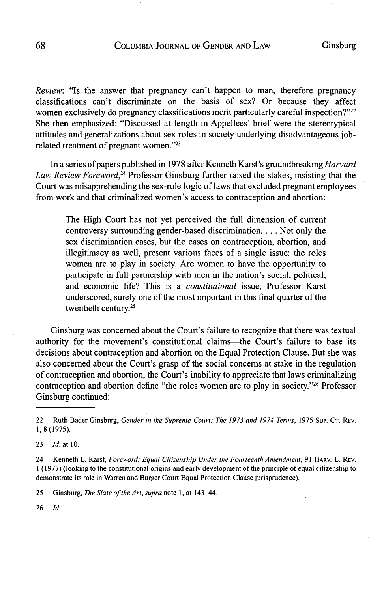*Review:* "Is the answer that pregnancy can't happen to man, therefore pregnancy classifications can't discriminate on the basis of sex? Or because they affect women exclusively do pregnancy classifications merit particularly careful inspection?"<sup>22</sup> She then emphasized: "Discussed at length in Appellees' brief were the stereotypical attitudes and generalizations about sex roles in society underlying disadvantageous **job**related treatment of pregnant women."23

In a series of papers published in **1978** after Kenneth Karst's groundbreaking *Harvard Law Review Foreword,24* Professor Ginsburg further raised the stakes, insisting that the Court was misapprehending the sex-role logic of laws that excluded pregnant employees from work and that criminalized women's access to contraception and abortion:

The High Court has not yet perceived the full dimension of current controversy surrounding gender-based discrimination... **.** Not only the sex discrimination cases, but the cases on contraception, abortion, and illegitimacy as well, present various faces of a single issue: the roles women are to play in society. Are women to have the opportunity to participate in full partnership with men in the nation's social, political, and economic life? This is a *constitutional* issue, Professor Karst underscored, surely one of the most important in this final quarter of the twentieth century.25

Ginsburg was concerned about the Court's failure to recognize that there was textual authority for the movement's constitutional claims-the Court's failure to base its decisions about contraception and abortion on the Equal Protection Clause. But she was also concerned about the Court's grasp of the social concerns at stake in the regulation of contraception and abortion, the Court's inability to appreciate that laws criminalizing contraception and abortion define "the roles women are to play in society."<sup>26</sup> Professor Ginsburg continued:

**25** Ginsburg, *The Siate of the Art, supra* note **I,** at 143-44.

**26** *Id.*

<sup>22</sup> Ruth Bader Ginsburg, Gender in the Supreme Court: The **1973** and 1974 Terms, **1975 SuP. CT.** REV. **1,8(1975).**

**<sup>23</sup>** *Id.* at **10.**

<sup>24</sup> Kenneth L. Karst, *Foreword: Equal Citizenship Under the Fourteenth Amendment,* **91 HARv.** L. REV. **1 (1977)** (looking to the constitutional origins and early development of the principle of equal citizenship to demonstrate its role in Warren and Burger Court Equal Protection Clause jurisprudence).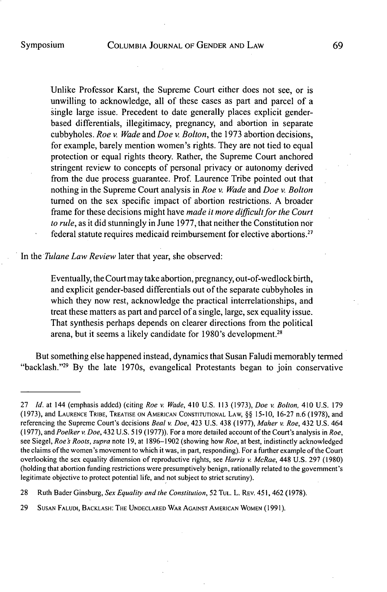Unlike Professor Karst, the Supreme Court either does not see, or is unwilling to acknowledge, all of these cases as part and parcel of a single large issue. Precedent to date generally places explicit genderbased differentials, illegitimacy, pregnancy, and abortion in separate cubbyholes. *Roe v. Wade and Doe v. Bolton,* the **1973** abortion decisions, for example, barely mention women's rights. They are not tied to equal protection or equal rights theory. Rather, the Supreme Court anchored stringent review to concepts of personal privacy or autonomy derived from the due process guarantee. Prof. Laurence Tribe pointed out that nothing in the Supreme Court analysis in *Roe v. Wade and Doe v. Bolton* turned on the sex specific impact of abortion restrictions. **A** broader frame for these decisions might have *made it more difficult for the Court to rule,* as it did stunningly in June **1977,** that neither the Constitution nor federal statute requires medicaid reimbursement for elective abortions.<sup>27</sup>

In the *Tulane Law Review* later that year, she observed:

Eventually, the Court may take abortion, pregnancy, out-of-wedlock birth, and explicit gender-based differentials out of the separate cubbyholes in which they now rest, acknowledge the practical interrelationships, and treat these matters as part and parcel of a single, large, sex equality issue. That synthesis perhaps depends on clearer directions from the political arena, but it seems a likely candidate for 1980's development. <sup>28</sup>

But something else happened instead, dynamics that Susan Faludi memorably termed "backlash."<sup>29</sup> By the late 1970s, evangelical Protestants began to join conservative

**<sup>27</sup>** *Id. at* 144 (emphasis added) (citing *Roe v. Wade,* 410 **U.S. 113 (1973),** *Doe v. Bolton,* 410 **U.S. 179** (1973), and **LAURENCE TRIBE, TREATISE ON AMERICAN CONSTITUTIONAL LAW, §§ 15-10, 16-27** n.6 **(1978),** and referencing the Supreme Court's decisions *Beal v. Doe,* 423 **U.S.** 438 **(1977),** *Maher v. Roe,* 432 **U.S.** 464 **(1977),** *and Poelker v. Doe,* 432 U.S. **519 (1977)).** For a more detailed account of the Court's analysis in *Roe,* see Siegel, *Roes Roots, supra* note **19,** at **1896-1902** (showing how *Roe,* at best, indistinctly acknowledged the claims of the women's movement to which it was, in part, responding). For a further example of the Court overlooking the sex equality dimension of reproductive rights, see *Harris v. McRae,* 448 **U.S. 297 (1980)** (holding that abortion funding restrictions were presumptively benign, rationally related to the government's legitimate objective to protect potential life, and not subject to strict scrutiny).

**<sup>28</sup>** Ruth Bader Ginsburg, *Sex Equality and the Constitution,* **52 TUL.** L. **REv.** 451, 462 **(1978).**

**<sup>29</sup> SUSAN FALUDI, BACKLASH: THE UNDECLARED WAR AGAINST AMERICAN WOMEN (1991).**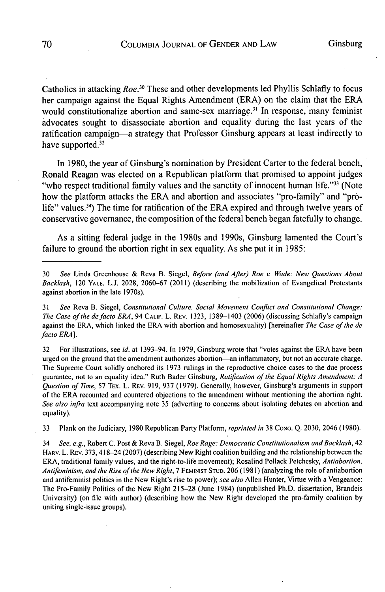Catholics in attacking *Roe.30* These and other developments led Phyllis Schlafly to focus her campaign against the Equal Rights Amendment (ERA) on the claim that the ERA would constitutionalize abortion and same-sex marriage.<sup>31</sup> In response, many feminist advocates sought to disassociate abortion and equality during the last years of the ratification campaign-a strategy that Professor Ginsburg appears at least indirectly to have supported.<sup>32</sup>

In **1980,** the year of Ginsburg's nomination **by** President Carter to the federal bench, Ronald Reagan was elected on a Republican platform that promised to appoint judges "who respect traditional family values and the sanctity of innocent human life."<sup>33</sup> (Note how the platform attacks the ERA and abortion and associates "pro-family" and "prolife" values.<sup>34</sup>) The time for ratification of the ERA expired and through twelve years of conservative governance, the composition of the federal bench began fatefully to change.

As a sitting federal judge in the 1980s and 1990s, Ginsburg lamented the Court's failure to ground the abortion right in sex equality. As she put it in **1985:**

**32** For illustrations, see *id.* at 1393-94. In **1979,** Ginsburg wrote that "votes against the ERA have been urged on the ground that the amendment authorizes abortion-an inflammatory, but not an accurate charge. The Supreme Court solidly anchored its **1973** rulings in the reproductive choice cases to the due process guarantee, not to an equality idea." Ruth Bader Ginsburg, *Ratifcation of the Equal Rights Amendment: A Question of Time,* **57** TEx. L. **REV. 919, 937 (1979).** Generally, however, Ginsburg's arguments in support of the **ERA** recounted and countered objections to the amendment without mentioning the abortion right. *See also infra* text accompanying note **35** (adverting to concerns about isolating debates on abortion and equality).

**33** Plank on the Judiciary, **1980** Republican Party Platform, *reprinted in* **38 CONG. Q. 2030,** 2046 **(1980).**

34 *See, e.g.,* Robert **C.** Post **&** Reva B. Siegel, *Roe Rage: Democratic Constitutionalism and Backlash, 42* HARv. L. **REv. 373,** 418-24 **(2007)** (describing New Right coalition building and the relationship between the ERA, traditional family values, and the right-to-life movement); Rosalind Pollack Petchesky, *Antiabortion, Antfeminism, and the Rise ofthe New Right,* **7 FEMINIST STUD. 206 (1981)** (analyzing the role of antiabortion and antifeminist politics in the New Right's rise to power); *see also* Allen Hunter, Virtue with a Vengeance: The Pro-Family Politics of the New Right **215-28** (June 1984) (unpublished Ph.D. dissertation, Brandeis University) (on file with author) (describing how the New Right developed the pro-family coalition **by** uniting single-issue groups).

**<sup>30</sup>** See Linda Greenhouse **&** Reva B. Siegel, *Before (and After) Roe v. Wade: New Questions About* Backlash, 120 **YALE. L.J. 2028, 2060-67** (2011) (describing the mobilization of Evangelical Protestants against abortion in the late 1970s).

**<sup>31</sup>** *See* Reva B. Siegel, *Constitutional Culture, Social Movement Conflict and Constitutional Change: The Case of the defacto ERA, 94* **CALIF.** L. REv. **1323, 1389-1403 (2006)** (discussing Schlafly's campaign against the ERA, which linked the ERA with abortion and homosexuality) [hereinafter *The Case of the de* facto *ERA].*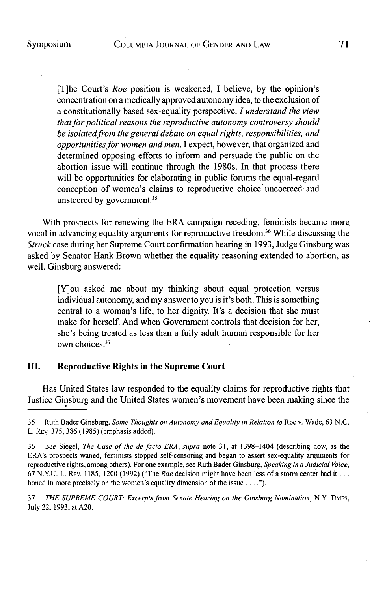[T]he Court's *Roe* position is weakened, **I** believe, **by** the opinion's concentration on a medically approved autonomy idea, to the exclusion of a constitutionally based sex-equality perspective. *I understand the view that for political reasons the reproductive autonomy controversy should be isolated from the general debate on equal rights, responsibilities, and opportunities for women and men.* **I** expect, however, that organized and determined opposing efforts to inform and persuade the public on the abortion issue will continue through the 1980s. In that process there will be opportunities for elaborating in public forums the equal-regard conception of women's claims to reproductive choice uncoerced and unsteered by government.<sup>35</sup>

With prospects for renewing the ERA campaign receding, feminists became more. vocal in advancing equality arguments for reproductive freedom.<sup>36</sup> While discussing the *Struck* case during her Supreme Court confirmation hearing in **1993,** Judge Ginsburg was asked **by** Senator Hank Brown whether the equality reasoning extended to abortion, as well. Ginsburg answered:

[Y]ou asked me about my thinking about equal protection versus individual autonomy, and my answer to you is it's both. This is something central to a woman's life, to her dignity. It's a decision that she must make for herself. And when Government controls that decision for her, she's being treated as less than a fully adult human responsible for her own choices.<sup>37</sup>

# **III. Reproductive Rights in the Supreme Court**

Has United States law responded to the equality claims for reproductive rights that Justice Ginsburg and the United States women's movement have been making since the

**37** *THE SUPREME COURT Excerpts from Senate Hearing on the Ginsburg Nomination, N.Y.* TIMES, July 22, **1993,** at **A20.**

*<sup>35</sup>* Ruth Bader Ginsburg, *Some Thoughts on Autonomy and Equality in Relation to* Roe v. Wade, **63 N.C.** L. REV. **375, 386 (1985)** (emphasis added).

**<sup>36</sup>** *See Siegel, The Case of the defacto ERA, supra* note **31,** at 1398-1404 (describing how, as the ERA's prospects waned, feminists stopped self-censoring and began to assert sex-equality arguments for reproductive rights, among others). For one example, see Ruth Bader Ginsburg, *Speaking in a Judicial Voice,* **67 N.Y.U.** L. **REV. 1185,** 1200 **(1992)** ("The *Roe* decision might have been less of a storm center had it **...** honed in more precisely on the women's equality dimension of the issue **.... ").**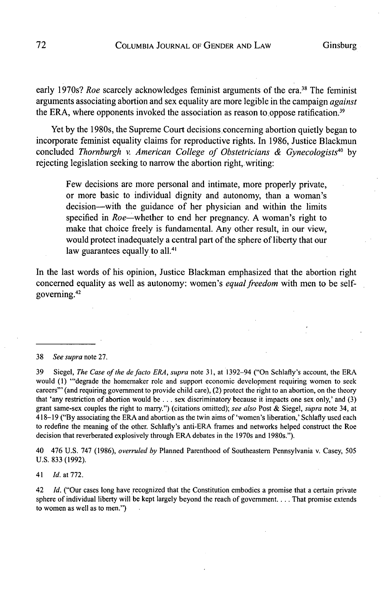early 1970s? *Roe* scarcely acknowledges feminist arguments of the era.<sup>38</sup> The feminist arguments associating abortion and sex equality are more legible in the campaign *against* the ERA, where opponents invoked the association as reason to oppose ratification. $39$ 

Yet **by** the 1980s, the Supreme Court decisions concerning abortion quietly began to incorporate feminist equality claims for reproductive rights. In **1986,** Justice Blackmun concluded *Thornburgh v. American College of Obstetricians & Gynecologists40 by* rejecting legislation seeking to narrow the abortion right, writing:

Few decisions are more personal and intimate, more properly private, or more basic to individual dignity and autonomy, than a woman's decision-with the guidance of her physician and within the limits specified in Roe-whether to end her pregnancy. **A** woman's right to make that choice freely is fundamental. Any other result, in our view, would protect inadequately a central part of the sphere of liberty that our law guarantees equally to all.<sup>41</sup>

In the last words of his opinion, Justice Blackman emphasized that the abortion right concerned equality as well as autonomy: women's *equal freedom* with men to be selfgoverning.42

#### **38** *See supra* note **27.**

**39** Siegel, *The Case of the defacto ERA, supra* note **31,** at 1392-94 ("On Schlafly's account, the ERA would **(1)** "'degrade the homemaker role and support economic development requiring women to seek careers"' (and requiring government to provide child care), (2) protect the right to an abortion, on the theory that 'any restriction of abortion would be **.** . **.** sex discriminatory because it impacts one sex only,' and **(3)** grant same-sex couples the right to marry.") (citations omitted); *see also* Post **&** Siegel, *supra* note 34, at 418-19 **("By** associating the ERA and abortion as the twin aims of 'women's liberation,' Schlafly used each to redefine the meaning of the other. Schlafly's anti-ERA frames and networks helped construct the Roe decision that reverberated explosively through ERA debates in the 1970s and 1980s.").

40 476 **U.S. 747 (1986),** *overruled by* Planned Parenthood of Southeastern Pennsylvania v. Casey, **505 U.S. 833 (1992).**

41 *Id. at* **772.**

42 *Id.* ("Our cases long have recognized that the Constitution embodies a promise that a certain private sphere of individual liberty will be kept largely beyond the reach of government.. . **.** That promise extends to women as well as to men.")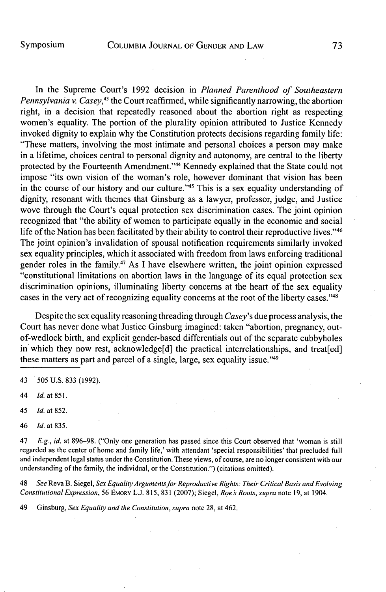In the Supreme Court's **1992** decision in *Planned Parenthood of Southeastern Pennsylvania v. Casey,43* the Court reaffirmed, while significantly narrowing, the abortion right, in a decision that repeatedly reasoned about the abortion right as respecting women's equality. The portion of the plurality opinion attributed to Justice Kennedy invoked dignity to explain why the Constitution protects decisions regarding family life: "These matters, involving the most intimate and personal choices a person may make in a lifetime, choices central to personal dignity and autonomy, are central to the liberty protected by the Fourteenth Amendment."<sup>44</sup> Kennedy explained that the State could not impose "its own vision of the woman's role, however dominant that vision has been in the course of our history and our culture."<sup>45</sup> This is a sex equality understanding of dignity, resonant with themes that Ginsburg as a lawyer, professor, judge, and Justice wove through the Court's equal protection sex discrimination cases. The joint opinion recognized that "the ability of women to participate equally in the economic and social life of the Nation has been facilitated by their ability to control their reproductive lives."<sup>46</sup> The joint opinion's invalidation of spousal notification requirements similarly invoked sex equality principles, which it associated with freedom from laws enforcing traditional gender roles in the family.47 As **I** have elsewhere written, the joint opinion expressed "constitutional limitations on abortion laws in the language of its equal protection sex discrimination opinions, illuminating liberty concerns at the heart of the sex equality cases in the very act of recognizing equality concerns at the root of the liberty cases."<sup>48</sup>

Despite the sex equality reasoning threading through *Casey's* due process analysis, the Court has never done what Justice Ginsburg imagined: taken "abortion, pregnancy, outof-wedlock birth, and explicit gender-based differentials out of the separate cubbyholes in which they now rest, acknowledge[d] the practical interrelationships, and treat[ed] these matters as part and parcel of a single, large, sex equality issue."49

- 43 **505 U.S. 833 (1992).**
- 44 *Id.* at **851.**
- 45 *Id.* at **852.**
- *46 Id.* at **835.**

47 *E.g., id.* at **896-98.** ("Only one generation has passed since this Court observed that 'woman is still regarded as the center of home and family life,' with attendant 'special responsibilities' that precluded **full** and independent legal status under the Constitution. These views, of course, are no longer consistent with our understanding of the family, the individual, or the Constitution.") (citations omitted).

*48 See* Reva B. Siegel, *Sex Equality Argumentsfor Reproductive Rights: Their Critical Basis and Evolving Constitutional* Expression, **56 EMORY L.J. 815, 831 (2007);** Siegel, *Roe s Roots, supra* note **19,** at 1904.

49 Ginsburg, Sex Equality and the Constitution, supra note **28,** at 462.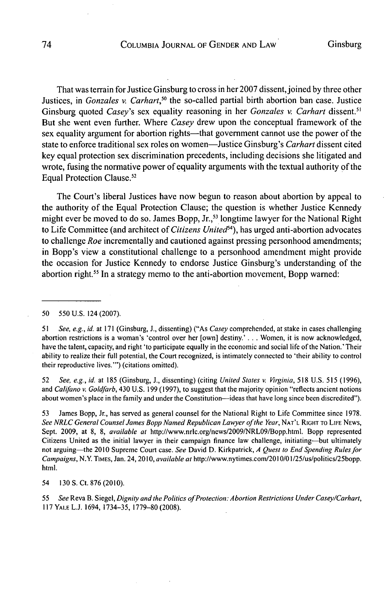That was terrain for Justice Ginsburg to cross in her 2007 dissent, joined **by** three other Justices, in *Gonzales v. Carhart*,<sup>50</sup> the so-called partial birth abortion ban case. Justice Ginsburg quoted *Casey's* sex equality reasoning in her *Gonzales v. Carhart* dissent.<sup>51</sup> But she went even further. Where *Casey* drew upon the conceptual framework of the sex equality argument for abortion rights—that government cannot use the power of the state to enforce traditional sex roles on women-Justice Ginsburg's *Carhart* dissent cited key equal protection sex discrimination precedents, including decisions she litigated and wrote, fusing the normative power of equality arguments with the textual authority **of** the Equal Protection Clause.52

The Court's liberal Justices have now begun to reason about abortion **by** appeal to the authority of the Equal Protection Clause; the question is whether Justice Kennedy might ever be moved to do so. James Bopp, Jr.,<sup>53</sup> longtime lawyer for the National Right to Life Committee (and architect of *Citizens United<sup>54</sup>*), has urged anti-abortion advocates to challenge *Roe* incrementally and cautioned against pressing personhood amendments; in Bopp's view a constitutional challenge to a personhood amendment might provide the occasion for Justice Kennedy to endorse Justice Ginsburg's understanding of the abortion right.<sup>55</sup> In a strategy memo to the anti-abortion movement, Bopp warned:

*50* **550 U.S.** 124 **(2007).**

**<sup>51</sup>***See, e.g., id.* at **171** (Ginsburg, **J.,** dissenting) ("As *Casey* comprehended, at stake in cases challenging abortion restrictions is a woman's 'control over her [own] destiny.' **. . .** Women, it is now acknowledged, have the talent, capacity, and right 'to participate equally in the economic and social life of the Nation.' Their ability to realize their full potential, the Court recognized, is intimately connected to 'their ability to control their reproductive lives."') (citations omitted).

**52** *See, e.g., id.* at **185** (Ginsburg, **J.,** dissenting) (citing *United* States v. Viginia, **518 U.S. 515 (1996),** and Califano v. Goldfarb, 430 **U.S. 199 (1997),** to suggest that the majority opinion "reflects ancient notions about women's place in the family and under the Constitution--ideas that have long since been discredited").

**53** James Bopp, Jr., has served as general counsel for the National Right to Life Committee since **1978.** See NRLC General Counsel *James* Bopp Named Republican Lawyer ofthe Year, **NAT'L RIGHT TO LIFE NEWS,** Sept. **2009,** at **8, 8,** available at http://www.nric.org/news/2009/NRL09/Bopp.html. Bopp represented Citizens United as the initial lawyer in their campaign finance law challenge, initiating-but ultimately not arguing-the 2010 Supreme Court case. See David **D.** Kirkpatrick, **A** Quest to End Spending Rules for Campaigns, N.Y. **TIMES,** Jan. 24, **2010,** available at http://www.nytimes.com/2010/01/25/us/politics/25bopp. html.

54 **130 S.** Ct. **876** (2010).

**<sup>55</sup>**See Reva B. Siegel, Dignity and the Politics ofProtection: *Abortion Restrictions Under Casey/Carhart,* **117YALEL.J.** 1694, **1734-35, 1779-80 (2008).**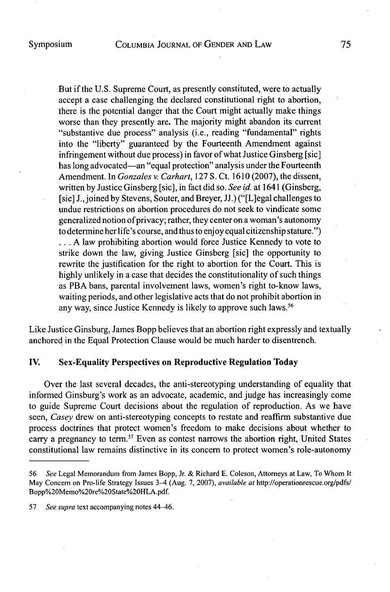But if the **U.S.** Supreme Court, as presently constituted, were to actually accept a case challenging the declared constitutional right to abortion, there is the potential danger that the Court might actually make things worse than they presently are. The majority might abandon its current "substantive due process" analysis (i.e., reading "fundamental" rights into the "liberty" guaranteed **by** the Fourteenth Amendment against infringement without due process) in favor of what Justice Ginsberg [sic] has long advocated-an "equal protection" analysis under the Fourteenth Amendment. In *Gonzales v. Carhart,* **127 S.** Ct. **1610 (2007),** the dissent, written **by** Justice Ginsberg [sic], in fact did so. *See id.* at 1641 (Ginsberg, [sic] J.,joinedby Stevens, Souter, and Breyer, **JJ.)** ("[L]egal challenges to undue restrictions on abortion procedures do not seek to vindicate some generalized notion of privacy; rather, they center on a woman's autonomy to determine her life's course, and thus to enjoy equal citizenship stature.") **... A** law prohibiting abortion would force Justice Kennedy to vote to strike down the law, giving Justice Ginsberg [sic] the opportunity to rewrite the justification for the right to abortion for the Court. This is **highly** unlikely in a case that decides the constitutionality of such things as PBA bans, parental involvement laws, women's right to-know laws, waiting periods, and other legislative acts that do not prohibit abortion in any way, since Justice Kennedy is likely to approve such laws.<sup>56</sup>

Like Justice Ginsburg, James Bopp believes that an abortion right expressly and textually anchored in the Equal Protection Clause would be much harder to disentrench.

# **IV.** Sex-Equality Perspectives **on Reproductive Regulation Today**

Over the last several decades, the anti-stereotyping understanding of equality that informed Ginsburg's work as an advocate, academic, and judge has increasingly come to guide Supreme Court decisions about the regulation of reproduction. As we have *seen, Casey* drew on anti-stereotyping concepts to restate and reaffirm substantive due process doctrines that protect women's freedom to make decisions about whether to carry a pregnancy to term.<sup>57</sup> Even as contest narrows the abortion right, United States constitutional law remains distinctive in its concern to protect women's role-autonomy

**<sup>56</sup>** See Legal Memorandum from James Bopp, Jr. **&** Richard **E.** Coleson, Attorneys at Law, To Whom It May Concern on Pro-life Strategy Issues 3-4 (Aug. **7, 2007),** available at http://operationrescue.org/pdfs/ Bopp%20Memo%20re%20State%20HLA.pdf.

**<sup>57</sup>** See supra text accompanying notes 44-46.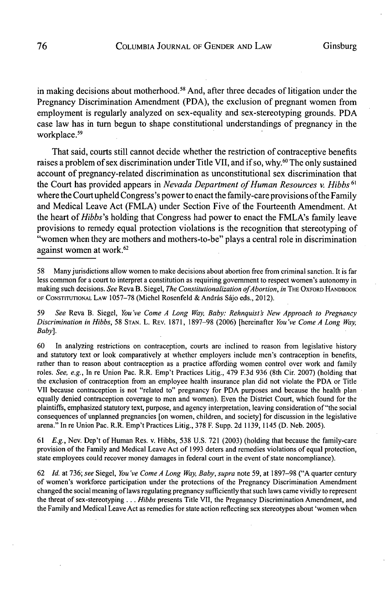in making decisions about motherhood.<sup>58</sup> And, after three decades of litigation under the Pregnancy Discrimination Amendment **(PDA),** the exclusion of pregnant women from employment is regularly analyzed on sex-equality and sex-stereotyping grounds. **PDA** case law has in turn begun to shape constitutional understandings of pregnancy in the workplace.<sup>59</sup>

That said, courts still cannot decide whether the restriction of contraceptive benefits raises a problem of sex discrimination under Title VII, and if so, why.<sup>60</sup> The only sustained account of pregnancy-related discrimination as unconstitutional sex discrimination that the Court has provided appears in *Nevada Department of Human Resources v. Hibbs*<sup>61</sup> where the Court upheld Congress's power to enact the family-care provisions of the Family and Medical Leave Act (FMLA) under Section Five of the Fourteenth Amendment. At the heart *of Hibbs's* holding that Congress had power to enact the FMLA's family leave provisions to remedy equal protection violations is the recognition that stereotyping of "women when they are mothers and mothers-to-be" plays a central role in discrimination against women at work.<sup>62</sup>

**59** *See* Reva B. Siegel, *You've Come A Long Way, Baby: Rehnquist New Approach to Pregnancy Discrimination in Hibbs,* **58 STAN.** L. REv. **1871, 1897-98 (2006)** [hereinafter *You've Come A Long Way, Baby].*

**60** In analyzing restrictions on contraception, courts are inclined to reason from legislative history and statutory text or look comparatively at whether employers include men's contraception in benefits, rather than to reason about contraception as a practice affording women control over work and family roles. *See, e.g.,* In re Union Pac. R.R. Emp't Practices Litig., 479 **F.3d 936** (8th Cir. **2007)** (holding that the exclusion of contraception from an employee health insurance plan did not violate the **PDA** or Title VII because contraception is not "related to" pregnancy for **PDA** purposes and because the health plan equally denied contraception coverage to men and women). Even the District Court, which found for the plaintiffs, emphasized statutory text, purpose, and agency interpretation, leaving consideration of "the social consequences of unplanned pregnancies [on women, children, and society] for discussion in the legislative arena." In re Union Pac. R.R. Emp't Practices Litig., **378** F. Supp. **2d 1139,** 1145 **(D.** Neb. **2005).**

*61 E.g.,* Nev. Dep't of Human Res. v. Hibbs, **538 U.S. 721 (2003)** (holding that because the family-care provision of the Family and Medical Leave Act of **1993** deters and remedies violations of equal protection, state employees could recover money damages in federal court in the event of state noncompliance).

**62** *Id.* at **736;** *see Siegel, You've Come A Long Way, Baby, supra* note **59,** at **1897-98 ("A** quarter century of women's workforce participation under the protections of the Pregnancy Discrimination Amendment changed the social meaning of laws regulating pregnancy sufficiently that such laws came vividly to represent the threat of sex-stereotyping **.** . **.** *Hibbs* presents Title VII, the Pregnancy Discrimination Amendment, and the Family and Medical Leave Act as remedies for state action reflecting sex stereotypes about 'women when

**<sup>58</sup>** Many jurisdictions allow women to make decisions about abortion free from criminal sanction. It is far less common for a court to interpret a constitution as requiring government to respect women's autonomy in making such decisions. *See* Reva B. Siegel, *The Constitutionalization ofAbortion, in* THE **OXFORD** HANDBOOK **OF CONSTITUTIONAL LAW 1057-78** (Michel Rosenfeld **&** Andrds **Sijo** eds., 2012).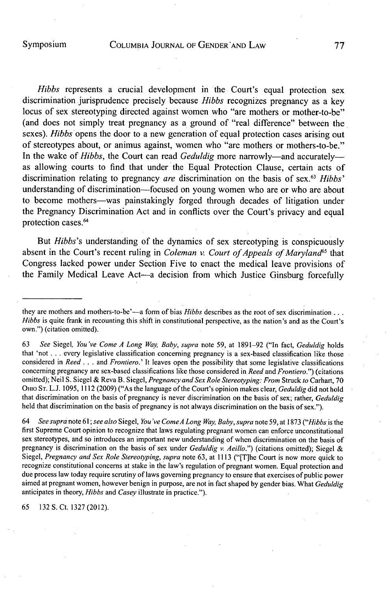*Hibbs* represents a crucial development in the Court's equal protection sex discrimination jurisprudence precisely because *Hibbs* recognizes pregnancy as a key locus of sex stereotyping directed against women who "are mothers or mother-to-be" (and does not simply treat pregnancy as a ground of "real difference" between the sexes). *Hibbs* opens the door to a new generation of equal protection cases arising out of stereotypes about, or animus against, women who "are mothers or mothers-to-be." In the wake of *Hibbs*, the Court can read *Geduldig* more narrowly—and accurately as allowing courts to find that under the Equal Protection Clause, certain acts of discrimination relating to pregnancy *are* discrimination on the basis **of sex. <sup>63</sup>***Hibbs'* understanding of discrimination-focused on young women who are or who are about to become mothers-was painstakingly forged through decades of litigation under the Pregnancy Discrimination Act and in conflicts over the Court's privacy and equal protection cases.<sup>64</sup>

But *Hibbs's* understanding of the dynamics of sex stereotyping is conspicuously absent in the Court's recent ruling in *Coleman v. Court of Appeals of Maryland65 that* Congress lacked power under Section Five to enact the medical leave provisions of the Family Medical Leave Act-a decision from which Justice Ginsburg forcefully

*64 See supra* note *61; see also Siegel, You've ComeA Long Way, Baby, supra* note **59,** at **1873** *("Hibbs* is the first Supreme Court opinion to recognize that laws regulating pregnant women can enforce unconstitutional sex stereotypes, and so introduces an important new understanding of when discrimination on the basis of pregnancy is discrimination on the basis of sex under *Geduldig v. Aeillo.")* (citations omitted); Siegel **&** *Siegel, Pregnancy and Sex Role Stereotyping, supra* note **63,** at **1113** ("[Tlhe Court is now more quick to recognize constitutional concerns at stake in the law's regulation of pregnant women. Equal protection and due process law today require scrutiny of laws governing pregnancy to ensure that exercises of public power aimed at pregnant women, however benign in purpose, are not in fact shaped **by** gender bias. What *Geduldig* anticipates in theory, *Hibbs and Casey* illustrate in practice.").

**65 132 S.** Ct. **1327** (2012).

they are mothers and mothers-to-be'-a form of bias *Hibbs* describes as the root of sex discrimination **. .** *Hibbs* is quite frank in recounting this shift in constitutional perspective, as the nation's and as the Court's own.") (citation omitted).

**<sup>63</sup>** *See Siegel, You've Come A Long Way, Baby, supra* note **59,** at **1891-92** ("In fact, *Geduldig holds* that 'not **.** . **.** every legislative classification concerning pregnancy is a sex-based classification like those considered in *Reed* **. ..** *and Frontiero.'* It leaves open the possibility that some legislative classifications concerning pregnancy are sex-based classifications like those considered in *Reed and Frontiero.")* (citations omitted); Neil **S.** Siegel **&** Reva B. Siegel, *Pregnancy and Sex Role Stereotyping: From Struck to* Carhart, **70** OHIO **ST. L.J. 1095,** 1112 **(2009)** ("As the language of the Court's opinion makes clear, *Geduldig* did not hold that discrimination on the basis of pregnancy is never discrimination on the basis of sex; rather, *Geduldig* held that discrimination on the basis of pregnancy is not always discrimination on the basis of sex.").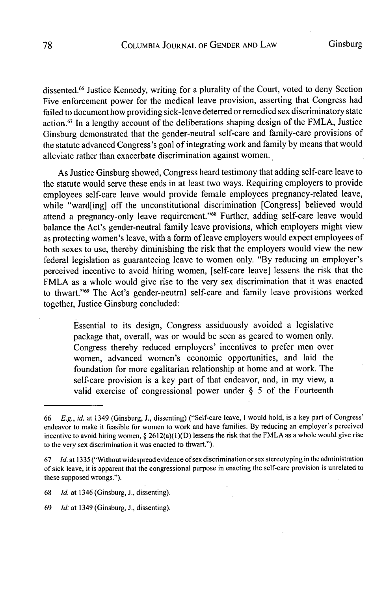dissented.<sup>66</sup> Justice Kennedy, writing for a plurality of the Court, voted to deny Section Five enforcement power for the medical leave provision, asserting that Congress had failed to document how providing sick-leave deterred or remedied sex discriminatory state action.<sup>67</sup> In a lengthy account of the deliberations shaping design of the FMLA, Justice Ginsburg demonstrated that the gender-neutral self-care and family-care provisions of the statute advanced Congress's goal of integrating work and family **by** means that would alleviate rather than exacerbate discrimination against women.

As Justice Ginsburg showed, Congress heard testimony that adding self-care leave to the statute would serve these ends in at least two ways. Requiring employers to provide employees self-care leave would provide female employees pregnancy-related leave, while "ward[ing] off the unconstitutional discrimination [Congress] believed would attend a pregnancy-only leave requirement."<sup>68</sup> Further, adding self-care leave would balance the Act's gender-neutral family leave provisions, which employers might view as protecting women's leave, with a form of leave employers would expect employees of both sexes to use, thereby diminishing the risk that the employers would view the new federal legislation as guaranteeing leave to women only. **"By** reducing an employer's perceived incentive to avoid hiring women, [self-care leave] lessens the risk that the FMLA as a whole would give rise to the very sex discrimination that it was enacted to thwart."69 The Act's gender-neutral self-care and family leave provisions worked together, Justice Ginsburg concluded:

Essential to its design, Congress assiduously avoided a legislative package that, overall, was or would be seen as geared to women only. Congress thereby reduced employers' incentives to prefer men over women, advanced women's economic opportunities, and laid the foundation for more egalitarian relationship at home and at work. The self-care provision is a key part of that endeavor, and, in my view, a valid exercise of congressional power under **§ 5** of the Fourteenth

*<sup>66</sup> E.g., id.* at 1349 (Ginsburg, **J.,** dissenting) ("Self-care leave, **I** would hold, is a key part of Congress' endeavor to make it feasible for women to work and have families. **By** reducing an employer's perceived incentive to avoid hiring women, **§** 2612(a)(1)(D) lessens the risk that the FMLA as a whole would give rise to the very sex discrimination it was enacted to thwart.").

**<sup>67</sup>** *Id.* at **1335** ("Without widespread evidence of sex discrimination or sex stereotyping in the administration of sick leave, it is apparent that the congressional purpose in enacting the self-care provision is unrelated to these supposed wrongs.").

**<sup>68</sup>** *Id.* at 1346 (Ginsburg, **J.,** dissenting).

**<sup>69</sup>** *Id.* at 1349 (Ginsburg, **J.,** dissenting).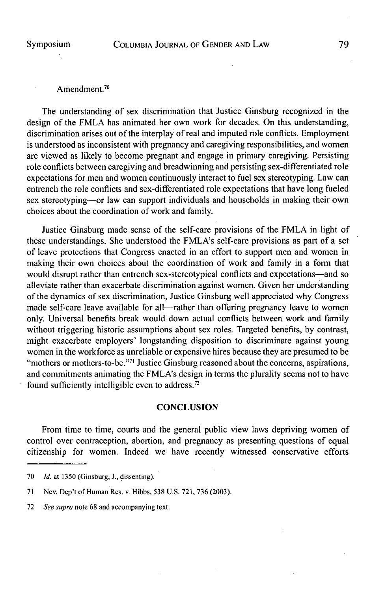#### Amendment.<sup>70</sup>

The understanding of sex discrimination that Justice Ginsburg recognized in the design of the FMLA has animated her own work for decades. On this understanding, discrimination arises out of the interplay of real and imputed role conflicts. Employment is understood as inconsistent with pregnancy and caregiving responsibilities, and women are viewed as likely to become pregnant and engage in primary caregiving. Persisting role conflicts between caregiving and breadwinning and persisting sex-differentiated role expectations for men and women continuously interact to fuel sex stereotyping. Law can entrench the role conflicts and sex-differentiated role expectations that have long fueled sex stereotyping-or law can support individuals and households in making their own choices about the coordination of work and family.

Justice Ginsburg made sense of the self-care provisions of the FMLA in light of these understandings. She understood the FMLA's self-care provisions as part of a set of leave protections that Congress enacted in an effort to support men and women in making their own choices about the coordination of work and family in a form that would disrupt rather than entrench sex-stereotypical conflicts and expectations—and so alleviate rather than exacerbate discrimination against women. Given her understanding of the dynamics of sex discrimination, Justice Ginsburg well appreciated why Congress made self-care leave available for all—rather than offering pregnancy leave to women only. Universal benefits break would down actual conflicts between work and family without triggering historic assumptions about sex roles. Targeted benefits, **by** contrast, might exacerbate employers' longstanding disposition to discriminate against young women in the workforce as unreliable or expensive hires because they are presumed to be "mothers or mothers-to-be."<sup>71</sup> Justice Ginsburg reasoned about the concerns, aspirations, and commitments animating the FMLA's design in terms the plurality seems not to have found sufficiently intelligible even to address.<sup>72</sup>

#### **CONCLUSION**

From time to time, courts and the general public view laws depriving women of control over contraception, abortion, and pregnancy as presenting questions of equal citizenship for women. Indeed we have recently witnessed conservative efforts

**<sup>70</sup>** *Id.* at *1350* (Ginsburg, **J.,** dissenting).

**<sup>71</sup>** Nev. Dep't of Human Res. v. Hibbs, **538 U.S. 721, 736 (2003).**

**<sup>72</sup>** See supra note **68** and accompanying text.